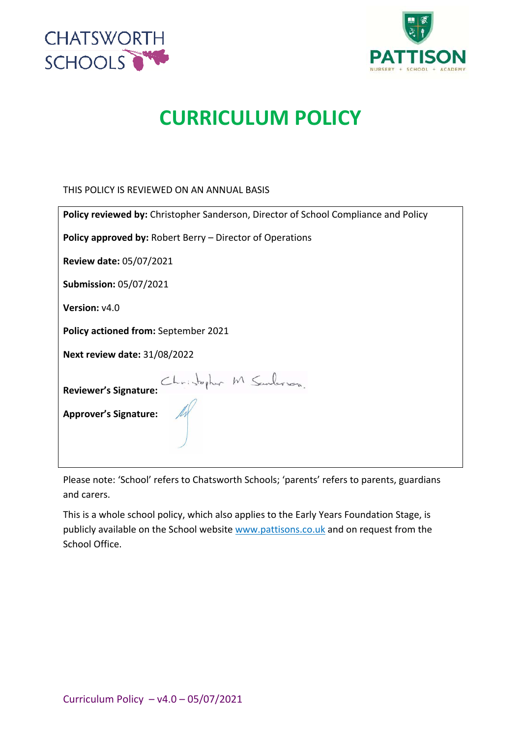



# **CURRICULUM POLICY**

THIS POLICY IS REVIEWED ON AN ANNUAL BASIS

Please note: 'School' refers to Chatsworth Schools; 'parents' refers to parents, guardians and carers.

This is a whole school policy, which also applies to the Early Years Foundation Stage, is publicly available on the School website www.pattisons.co.uk and on request from the School Office.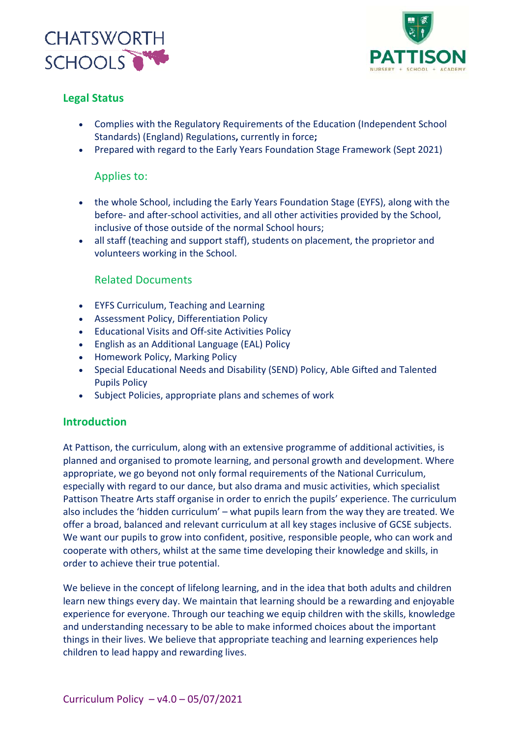



## **Legal Status**

- Complies with the Regulatory Requirements of the Education (Independent School Standards) (England) Regulations**,** currently in force**;**
- Prepared with regard to the Early Years Foundation Stage Framework (Sept 2021)

## Applies to:

- the whole School, including the Early Years Foundation Stage (EYFS), along with the before- and after-school activities, and all other activities provided by the School, inclusive of those outside of the normal School hours;
- all staff (teaching and support staff), students on placement, the proprietor and volunteers working in the School.

## Related Documents

- EYFS Curriculum, Teaching and Learning
- Assessment Policy, Differentiation Policy
- Educational Visits and Off-site Activities Policy
- English as an Additional Language (EAL) Policy
- Homework Policy, Marking Policy
- Special Educational Needs and Disability (SEND) Policy, Able Gifted and Talented Pupils Policy
- Subject Policies, appropriate plans and schemes of work

## **Introduction**

At Pattison, the curriculum, along with an extensive programme of additional activities, is planned and organised to promote learning, and personal growth and development. Where appropriate, we go beyond not only formal requirements of the National Curriculum, especially with regard to our dance, but also drama and music activities, which specialist Pattison Theatre Arts staff organise in order to enrich the pupils' experience. The curriculum also includes the 'hidden curriculum' – what pupils learn from the way they are treated. We offer a broad, balanced and relevant curriculum at all key stages inclusive of GCSE subjects. We want our pupils to grow into confident, positive, responsible people, who can work and cooperate with others, whilst at the same time developing their knowledge and skills, in order to achieve their true potential.

We believe in the concept of lifelong learning, and in the idea that both adults and children learn new things every day. We maintain that learning should be a rewarding and enjoyable experience for everyone. Through our teaching we equip children with the skills, knowledge and understanding necessary to be able to make informed choices about the important things in their lives. We believe that appropriate teaching and learning experiences help children to lead happy and rewarding lives.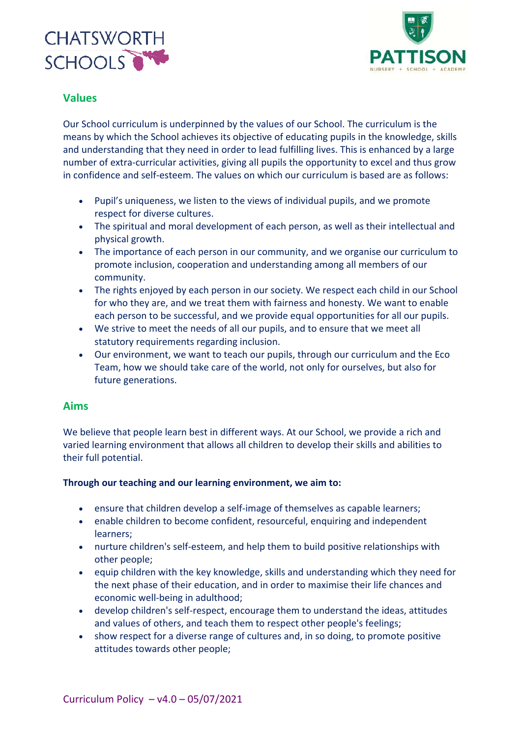



## **Values**

Our School curriculum is underpinned by the values of our School. The curriculum is the means by which the School achieves its objective of educating pupils in the knowledge, skills and understanding that they need in order to lead fulfilling lives. This is enhanced by a large number of extra-curricular activities, giving all pupils the opportunity to excel and thus grow in confidence and self-esteem. The values on which our curriculum is based are as follows:

- Pupil's uniqueness, we listen to the views of individual pupils, and we promote respect for diverse cultures.
- The spiritual and moral development of each person, as well as their intellectual and physical growth.
- The importance of each person in our community, and we organise our curriculum to promote inclusion, cooperation and understanding among all members of our community.
- The rights enjoyed by each person in our society. We respect each child in our School for who they are, and we treat them with fairness and honesty. We want to enable each person to be successful, and we provide equal opportunities for all our pupils.
- We strive to meet the needs of all our pupils, and to ensure that we meet all statutory requirements regarding inclusion.
- Our environment, we want to teach our pupils, through our curriculum and the Eco Team, how we should take care of the world, not only for ourselves, but also for future generations.

## **Aims**

We believe that people learn best in different ways. At our School, we provide a rich and varied learning environment that allows all children to develop their skills and abilities to their full potential.

#### **Through our teaching and our learning environment, we aim to:**

- ensure that children develop a self-image of themselves as capable learners;
- enable children to become confident, resourceful, enquiring and independent learners;
- nurture children's self-esteem, and help them to build positive relationships with other people;
- equip children with the key knowledge, skills and understanding which they need for the next phase of their education, and in order to maximise their life chances and economic well-being in adulthood;
- develop children's self-respect, encourage them to understand the ideas, attitudes and values of others, and teach them to respect other people's feelings;
- show respect for a diverse range of cultures and, in so doing, to promote positive attitudes towards other people;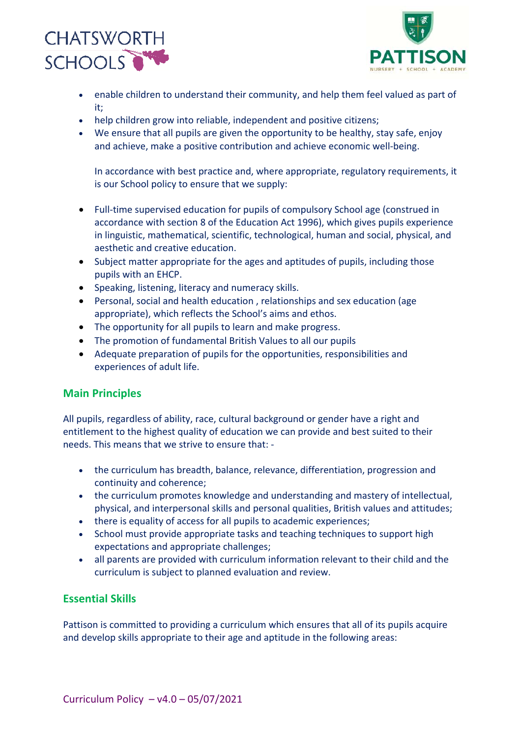



- enable children to understand their community, and help them feel valued as part of it;
- help children grow into reliable, independent and positive citizens;
- We ensure that all pupils are given the opportunity to be healthy, stay safe, enjoy and achieve, make a positive contribution and achieve economic well-being.

In accordance with best practice and, where appropriate, regulatory requirements, it is our School policy to ensure that we supply:

- Full-time supervised education for pupils of compulsory School age (construed in accordance with section 8 of the Education Act 1996), which gives pupils experience in linguistic, mathematical, scientific, technological, human and social, physical, and aesthetic and creative education.
- Subject matter appropriate for the ages and aptitudes of pupils, including those pupils with an EHCP.
- Speaking, listening, literacy and numeracy skills.
- Personal, social and health education , relationships and sex education (age appropriate), which reflects the School's aims and ethos.
- The opportunity for all pupils to learn and make progress.
- The promotion of fundamental British Values to all our pupils
- Adequate preparation of pupils for the opportunities, responsibilities and experiences of adult life.

## **Main Principles**

All pupils, regardless of ability, race, cultural background or gender have a right and entitlement to the highest quality of education we can provide and best suited to their needs. This means that we strive to ensure that: -

- the curriculum has breadth, balance, relevance, differentiation, progression and continuity and coherence;
- the curriculum promotes knowledge and understanding and mastery of intellectual, physical, and interpersonal skills and personal qualities, British values and attitudes;
- there is equality of access for all pupils to academic experiences;
- School must provide appropriate tasks and teaching techniques to support high expectations and appropriate challenges;
- all parents are provided with curriculum information relevant to their child and the curriculum is subject to planned evaluation and review.

## **Essential Skills**

Pattison is committed to providing a curriculum which ensures that all of its pupils acquire and develop skills appropriate to their age and aptitude in the following areas: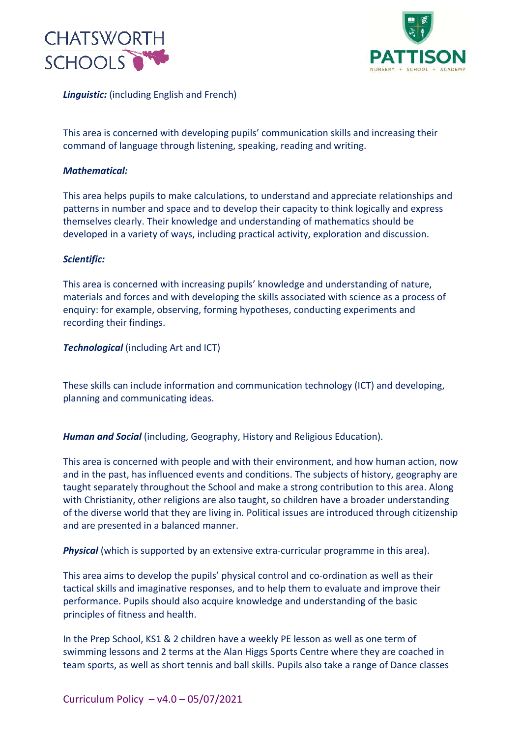



*Linguistic:* (including English and French)

This area is concerned with developing pupils' communication skills and increasing their command of language through listening, speaking, reading and writing.

#### *Mathematical:*

This area helps pupils to make calculations, to understand and appreciate relationships and patterns in number and space and to develop their capacity to think logically and express themselves clearly. Their knowledge and understanding of mathematics should be developed in a variety of ways, including practical activity, exploration and discussion.

#### *Scientific:*

This area is concerned with increasing pupils' knowledge and understanding of nature, materials and forces and with developing the skills associated with science as a process of enquiry: for example, observing, forming hypotheses, conducting experiments and recording their findings.

#### *Technological* (including Art and ICT)

These skills can include information and communication technology (ICT) and developing, planning and communicating ideas.

*Human and Social* (including, Geography, History and Religious Education).

This area is concerned with people and with their environment, and how human action, now and in the past, has influenced events and conditions. The subjects of history, geography are taught separately throughout the School and make a strong contribution to this area. Along with Christianity, other religions are also taught, so children have a broader understanding of the diverse world that they are living in. Political issues are introduced through citizenship and are presented in a balanced manner.

*Physical* (which is supported by an extensive extra-curricular programme in this area).

This area aims to develop the pupils' physical control and co-ordination as well as their tactical skills and imaginative responses, and to help them to evaluate and improve their performance. Pupils should also acquire knowledge and understanding of the basic principles of fitness and health.

In the Prep School, KS1 & 2 children have a weekly PE lesson as well as one term of swimming lessons and 2 terms at the Alan Higgs Sports Centre where they are coached in team sports, as well as short tennis and ball skills. Pupils also take a range of Dance classes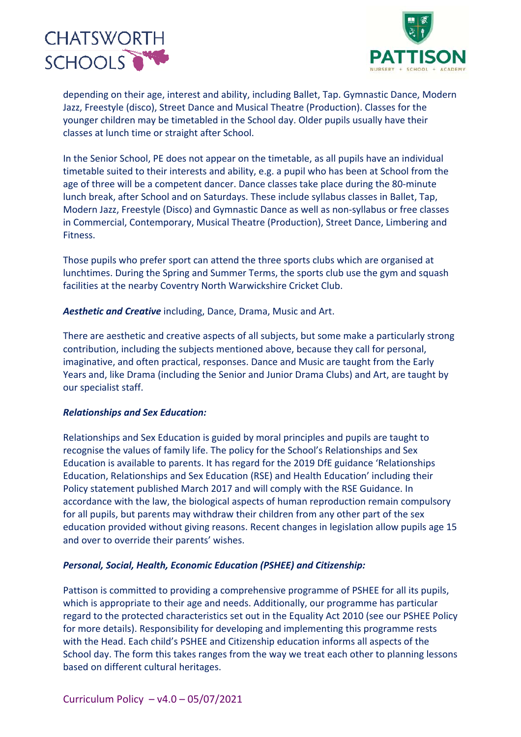



depending on their age, interest and ability, including Ballet, Tap. Gymnastic Dance, Modern Jazz, Freestyle (disco), Street Dance and Musical Theatre (Production). Classes for the younger children may be timetabled in the School day. Older pupils usually have their classes at lunch time or straight after School.

In the Senior School, PE does not appear on the timetable, as all pupils have an individual timetable suited to their interests and ability, e.g. a pupil who has been at School from the age of three will be a competent dancer. Dance classes take place during the 80-minute lunch break, after School and on Saturdays. These include syllabus classes in Ballet, Tap, Modern Jazz, Freestyle (Disco) and Gymnastic Dance as well as non-syllabus or free classes in Commercial, Contemporary, Musical Theatre (Production), Street Dance, Limbering and Fitness.

Those pupils who prefer sport can attend the three sports clubs which are organised at lunchtimes. During the Spring and Summer Terms, the sports club use the gym and squash facilities at the nearby Coventry North Warwickshire Cricket Club.

*Aesthetic and Creative* including, Dance, Drama, Music and Art.

There are aesthetic and creative aspects of all subjects, but some make a particularly strong contribution, including the subjects mentioned above, because they call for personal, imaginative, and often practical, responses. Dance and Music are taught from the Early Years and, like Drama (including the Senior and Junior Drama Clubs) and Art, are taught by our specialist staff.

#### *Relationships and Sex Education:*

Relationships and Sex Education is guided by moral principles and pupils are taught to recognise the values of family life. The policy for the School's Relationships and Sex Education is available to parents. It has regard for the 2019 DfE guidance 'Relationships Education, Relationships and Sex Education (RSE) and Health Education' including their Policy statement published March 2017 and will comply with the RSE Guidance. In accordance with the law, the biological aspects of human reproduction remain compulsory for all pupils, but parents may withdraw their children from any other part of the sex education provided without giving reasons. Recent changes in legislation allow pupils age 15 and over to override their parents' wishes.

#### *Personal, Social, Health, Economic Education (PSHEE) and Citizenship:*

Pattison is committed to providing a comprehensive programme of PSHEE for all its pupils, which is appropriate to their age and needs. Additionally, our programme has particular regard to the protected characteristics set out in the Equality Act 2010 (see our PSHEE Policy for more details). Responsibility for developing and implementing this programme rests with the Head. Each child's PSHEE and Citizenship education informs all aspects of the School day. The form this takes ranges from the way we treat each other to planning lessons based on different cultural heritages.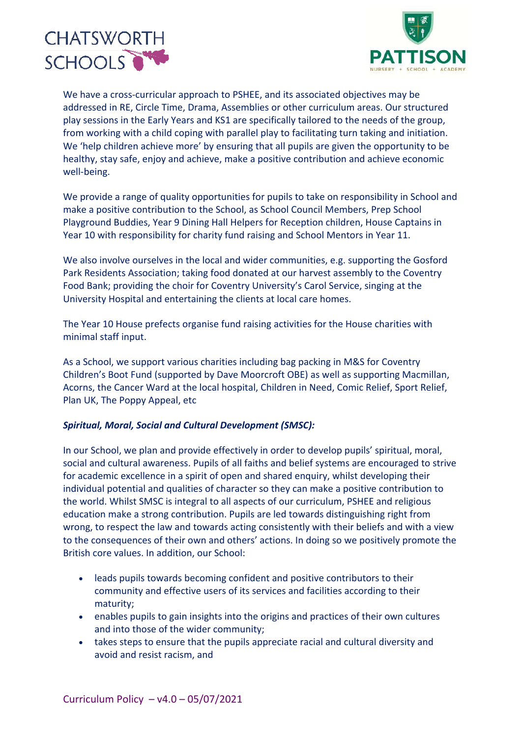



We have a cross-curricular approach to PSHEE, and its associated objectives may be addressed in RE, Circle Time, Drama, Assemblies or other curriculum areas. Our structured play sessions in the Early Years and KS1 are specifically tailored to the needs of the group, from working with a child coping with parallel play to facilitating turn taking and initiation. We 'help children achieve more' by ensuring that all pupils are given the opportunity to be healthy, stay safe, enjoy and achieve, make a positive contribution and achieve economic well-being.

We provide a range of quality opportunities for pupils to take on responsibility in School and make a positive contribution to the School, as School Council Members, Prep School Playground Buddies, Year 9 Dining Hall Helpers for Reception children, House Captains in Year 10 with responsibility for charity fund raising and School Mentors in Year 11.

We also involve ourselves in the local and wider communities, e.g. supporting the Gosford Park Residents Association; taking food donated at our harvest assembly to the Coventry Food Bank; providing the choir for Coventry University's Carol Service, singing at the University Hospital and entertaining the clients at local care homes.

The Year 10 House prefects organise fund raising activities for the House charities with minimal staff input.

As a School, we support various charities including bag packing in M&S for Coventry Children's Boot Fund (supported by Dave Moorcroft OBE) as well as supporting Macmillan, Acorns, the Cancer Ward at the local hospital, Children in Need, Comic Relief, Sport Relief, Plan UK, The Poppy Appeal, etc

#### *Spiritual, Moral, Social and Cultural Development (SMSC):*

In our School, we plan and provide effectively in order to develop pupils' spiritual, moral, social and cultural awareness. Pupils of all faiths and belief systems are encouraged to strive for academic excellence in a spirit of open and shared enquiry, whilst developing their individual potential and qualities of character so they can make a positive contribution to the world. Whilst SMSC is integral to all aspects of our curriculum, PSHEE and religious education make a strong contribution. Pupils are led towards distinguishing right from wrong, to respect the law and towards acting consistently with their beliefs and with a view to the consequences of their own and others' actions. In doing so we positively promote the British core values. In addition, our School:

- leads pupils towards becoming confident and positive contributors to their community and effective users of its services and facilities according to their maturity;
- enables pupils to gain insights into the origins and practices of their own cultures and into those of the wider community;
- takes steps to ensure that the pupils appreciate racial and cultural diversity and avoid and resist racism, and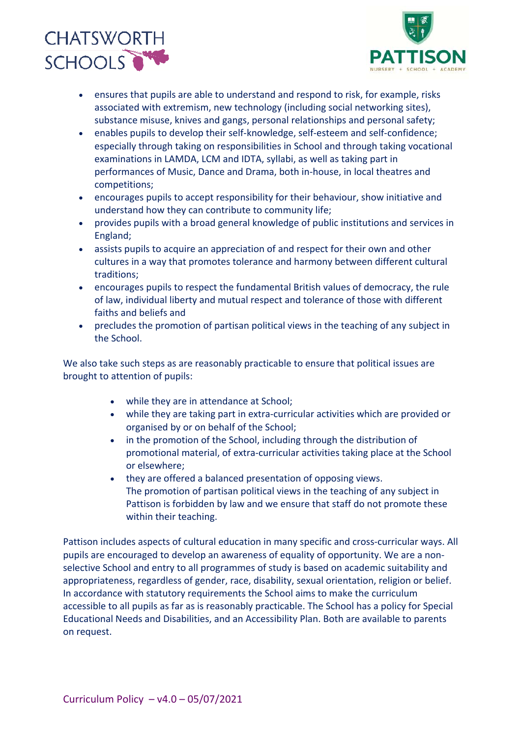



- ensures that pupils are able to understand and respond to risk, for example, risks associated with extremism, new technology (including social networking sites), substance misuse, knives and gangs, personal relationships and personal safety;
- enables pupils to develop their self-knowledge, self-esteem and self-confidence; especially through taking on responsibilities in School and through taking vocational examinations in LAMDA, LCM and IDTA, syllabi, as well as taking part in performances of Music, Dance and Drama, both in-house, in local theatres and competitions;
- encourages pupils to accept responsibility for their behaviour, show initiative and understand how they can contribute to community life;
- provides pupils with a broad general knowledge of public institutions and services in England;
- assists pupils to acquire an appreciation of and respect for their own and other cultures in a way that promotes tolerance and harmony between different cultural traditions;
- encourages pupils to respect the fundamental British values of democracy, the rule of law, individual liberty and mutual respect and tolerance of those with different faiths and beliefs and
- precludes the promotion of partisan political views in the teaching of any subject in the School.

We also take such steps as are reasonably practicable to ensure that political issues are brought to attention of pupils:

- while they are in attendance at School;
- while they are taking part in extra-curricular activities which are provided or organised by or on behalf of the School;
- in the promotion of the School, including through the distribution of promotional material, of extra-curricular activities taking place at the School or elsewhere;
- they are offered a balanced presentation of opposing views. The promotion of partisan political views in the teaching of any subject in Pattison is forbidden by law and we ensure that staff do not promote these within their teaching.

Pattison includes aspects of cultural education in many specific and cross-curricular ways. All pupils are encouraged to develop an awareness of equality of opportunity. We are a nonselective School and entry to all programmes of study is based on academic suitability and appropriateness, regardless of gender, race, disability, sexual orientation, religion or belief. In accordance with statutory requirements the School aims to make the curriculum accessible to all pupils as far as is reasonably practicable. The School has a policy for Special Educational Needs and Disabilities, and an Accessibility Plan. Both are available to parents on request.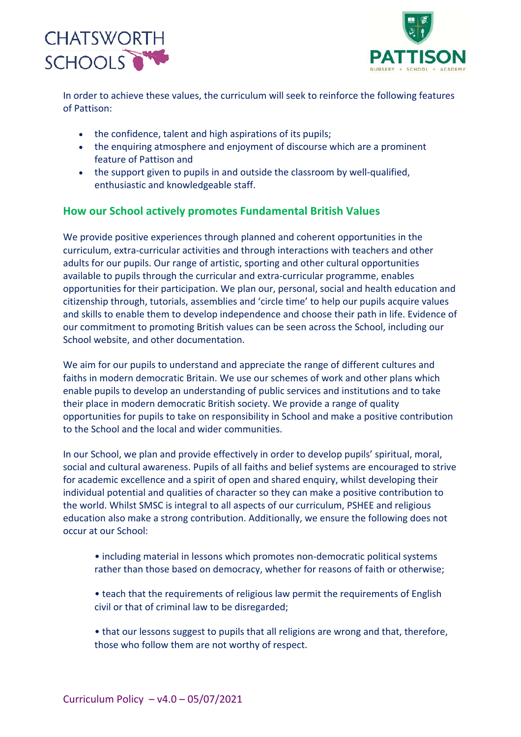



In order to achieve these values, the curriculum will seek to reinforce the following features of Pattison:

- the confidence, talent and high aspirations of its pupils;
- the enquiring atmosphere and enjoyment of discourse which are a prominent feature of Pattison and
- the support given to pupils in and outside the classroom by well-qualified, enthusiastic and knowledgeable staff.

## **How our School actively promotes Fundamental British Values**

We provide positive experiences through planned and coherent opportunities in the curriculum, extra-curricular activities and through interactions with teachers and other adults for our pupils. Our range of artistic, sporting and other cultural opportunities available to pupils through the curricular and extra-curricular programme, enables opportunities for their participation. We plan our, personal, social and health education and citizenship through, tutorials, assemblies and 'circle time' to help our pupils acquire values and skills to enable them to develop independence and choose their path in life. Evidence of our commitment to promoting British values can be seen across the School, including our School website, and other documentation.

We aim for our pupils to understand and appreciate the range of different cultures and faiths in modern democratic Britain. We use our schemes of work and other plans which enable pupils to develop an understanding of public services and institutions and to take their place in modern democratic British society. We provide a range of quality opportunities for pupils to take on responsibility in School and make a positive contribution to the School and the local and wider communities.

In our School, we plan and provide effectively in order to develop pupils' spiritual, moral, social and cultural awareness. Pupils of all faiths and belief systems are encouraged to strive for academic excellence and a spirit of open and shared enquiry, whilst developing their individual potential and qualities of character so they can make a positive contribution to the world. Whilst SMSC is integral to all aspects of our curriculum, PSHEE and religious education also make a strong contribution. Additionally, we ensure the following does not occur at our School:

- including material in lessons which promotes non-democratic political systems rather than those based on democracy, whether for reasons of faith or otherwise;
- teach that the requirements of religious law permit the requirements of English civil or that of criminal law to be disregarded;
- that our lessons suggest to pupils that all religions are wrong and that, therefore, those who follow them are not worthy of respect.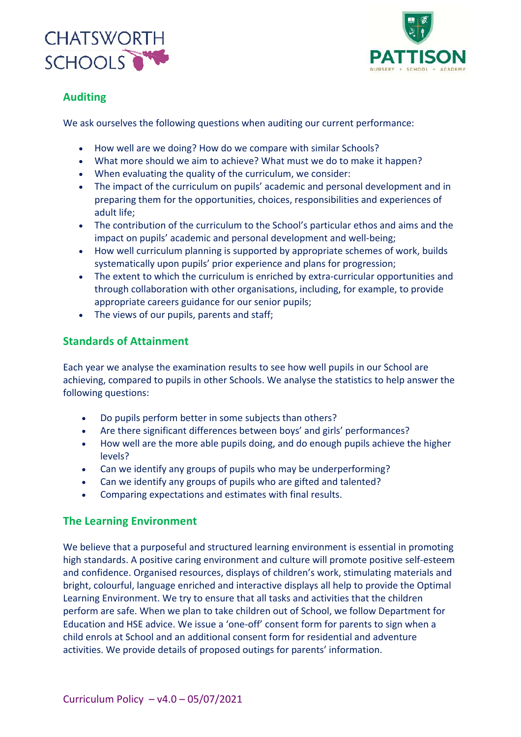



## **Auditing**

We ask ourselves the following questions when auditing our current performance:

- How well are we doing? How do we compare with similar Schools?
- What more should we aim to achieve? What must we do to make it happen?
- When evaluating the quality of the curriculum, we consider:
- The impact of the curriculum on pupils' academic and personal development and in preparing them for the opportunities, choices, responsibilities and experiences of adult life;
- The contribution of the curriculum to the School's particular ethos and aims and the impact on pupils' academic and personal development and well-being;
- How well curriculum planning is supported by appropriate schemes of work, builds systematically upon pupils' prior experience and plans for progression;
- The extent to which the curriculum is enriched by extra-curricular opportunities and through collaboration with other organisations, including, for example, to provide appropriate careers guidance for our senior pupils;
- The views of our pupils, parents and staff;

## **Standards of Attainment**

Each year we analyse the examination results to see how well pupils in our School are achieving, compared to pupils in other Schools. We analyse the statistics to help answer the following questions:

- Do pupils perform better in some subjects than others?
- Are there significant differences between boys' and girls' performances?
- How well are the more able pupils doing, and do enough pupils achieve the higher levels?
- Can we identify any groups of pupils who may be underperforming?
- Can we identify any groups of pupils who are gifted and talented?
- Comparing expectations and estimates with final results.

## **The Learning Environment**

We believe that a purposeful and structured learning environment is essential in promoting high standards. A positive caring environment and culture will promote positive self-esteem and confidence. Organised resources, displays of children's work, stimulating materials and bright, colourful, language enriched and interactive displays all help to provide the Optimal Learning Environment. We try to ensure that all tasks and activities that the children perform are safe. When we plan to take children out of School, we follow Department for Education and HSE advice. We issue a 'one-off' consent form for parents to sign when a child enrols at School and an additional consent form for residential and adventure activities. We provide details of proposed outings for parents' information.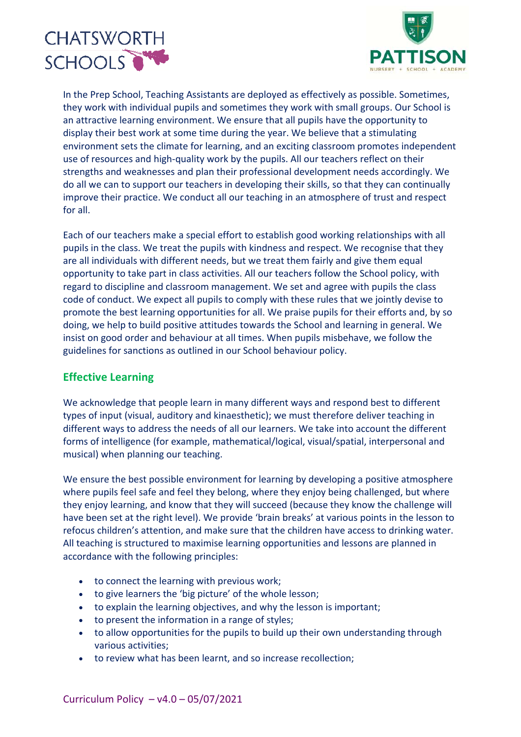



In the Prep School, Teaching Assistants are deployed as effectively as possible. Sometimes, they work with individual pupils and sometimes they work with small groups. Our School is an attractive learning environment. We ensure that all pupils have the opportunity to display their best work at some time during the year. We believe that a stimulating environment sets the climate for learning, and an exciting classroom promotes independent use of resources and high-quality work by the pupils. All our teachers reflect on their strengths and weaknesses and plan their professional development needs accordingly. We do all we can to support our teachers in developing their skills, so that they can continually improve their practice. We conduct all our teaching in an atmosphere of trust and respect for all.

Each of our teachers make a special effort to establish good working relationships with all pupils in the class. We treat the pupils with kindness and respect. We recognise that they are all individuals with different needs, but we treat them fairly and give them equal opportunity to take part in class activities. All our teachers follow the School policy, with regard to discipline and classroom management. We set and agree with pupils the class code of conduct. We expect all pupils to comply with these rules that we jointly devise to promote the best learning opportunities for all. We praise pupils for their efforts and, by so doing, we help to build positive attitudes towards the School and learning in general. We insist on good order and behaviour at all times. When pupils misbehave, we follow the guidelines for sanctions as outlined in our School behaviour policy.

## **Effective Learning**

We acknowledge that people learn in many different ways and respond best to different types of input (visual, auditory and kinaesthetic); we must therefore deliver teaching in different ways to address the needs of all our learners. We take into account the different forms of intelligence (for example, mathematical/logical, visual/spatial, interpersonal and musical) when planning our teaching.

We ensure the best possible environment for learning by developing a positive atmosphere where pupils feel safe and feel they belong, where they enjoy being challenged, but where they enjoy learning, and know that they will succeed (because they know the challenge will have been set at the right level). We provide 'brain breaks' at various points in the lesson to refocus children's attention, and make sure that the children have access to drinking water. All teaching is structured to maximise learning opportunities and lessons are planned in accordance with the following principles:

- to connect the learning with previous work;
- to give learners the 'big picture' of the whole lesson;
- to explain the learning objectives, and why the lesson is important;
- to present the information in a range of styles;
- to allow opportunities for the pupils to build up their own understanding through various activities;
- to review what has been learnt, and so increase recollection;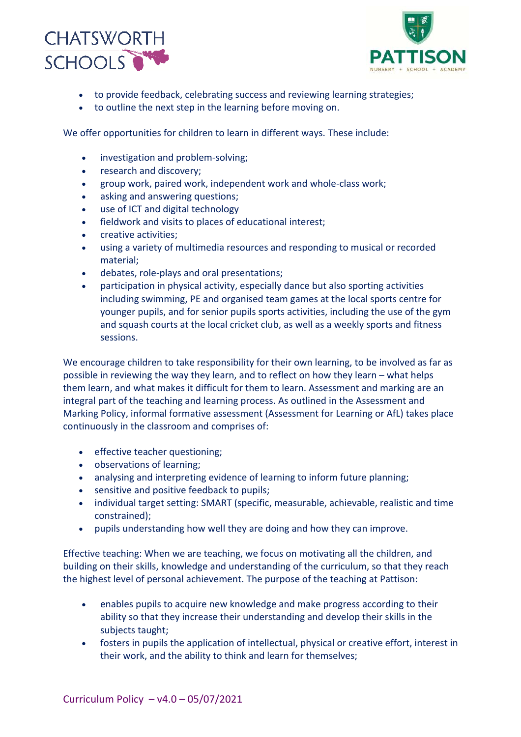



- to provide feedback, celebrating success and reviewing learning strategies;
- to outline the next step in the learning before moving on.

We offer opportunities for children to learn in different ways. These include:

- investigation and problem-solving;
- research and discovery;
- group work, paired work, independent work and whole-class work;
- asking and answering questions;
- use of ICT and digital technology
- fieldwork and visits to places of educational interest;
- creative activities;
- using a variety of multimedia resources and responding to musical or recorded material;
- debates, role-plays and oral presentations;
- participation in physical activity, especially dance but also sporting activities including swimming, PE and organised team games at the local sports centre for younger pupils, and for senior pupils sports activities, including the use of the gym and squash courts at the local cricket club, as well as a weekly sports and fitness sessions.

We encourage children to take responsibility for their own learning, to be involved as far as possible in reviewing the way they learn, and to reflect on how they learn – what helps them learn, and what makes it difficult for them to learn. Assessment and marking are an integral part of the teaching and learning process. As outlined in the Assessment and Marking Policy, informal formative assessment (Assessment for Learning or AfL) takes place continuously in the classroom and comprises of:

- effective teacher questioning;
- observations of learning;
- analysing and interpreting evidence of learning to inform future planning;
- sensitive and positive feedback to pupils;
- individual target setting: SMART (specific, measurable, achievable, realistic and time constrained);
- pupils understanding how well they are doing and how they can improve.

Effective teaching: When we are teaching, we focus on motivating all the children, and building on their skills, knowledge and understanding of the curriculum, so that they reach the highest level of personal achievement. The purpose of the teaching at Pattison:

- enables pupils to acquire new knowledge and make progress according to their ability so that they increase their understanding and develop their skills in the subjects taught;
- fosters in pupils the application of intellectual, physical or creative effort, interest in their work, and the ability to think and learn for themselves;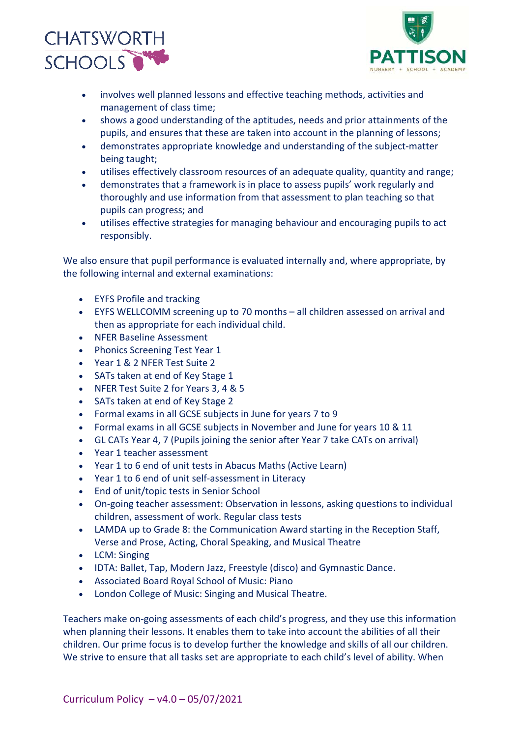



- involves well planned lessons and effective teaching methods, activities and management of class time;
- shows a good understanding of the aptitudes, needs and prior attainments of the pupils, and ensures that these are taken into account in the planning of lessons;
- demonstrates appropriate knowledge and understanding of the subject-matter being taught;
- utilises effectively classroom resources of an adequate quality, quantity and range;
- demonstrates that a framework is in place to assess pupils' work regularly and thoroughly and use information from that assessment to plan teaching so that pupils can progress; and
- utilises effective strategies for managing behaviour and encouraging pupils to act responsibly.

We also ensure that pupil performance is evaluated internally and, where appropriate, by the following internal and external examinations:

- EYFS Profile and tracking
- EYFS WELLCOMM screening up to 70 months all children assessed on arrival and then as appropriate for each individual child.
- NFER Baseline Assessment
- Phonics Screening Test Year 1
- Year 1 & 2 NFER Test Suite 2
- SATs taken at end of Key Stage 1
- NFER Test Suite 2 for Years 3, 4 & 5
- SATs taken at end of Key Stage 2
- Formal exams in all GCSE subjects in June for years 7 to 9
- Formal exams in all GCSE subjects in November and June for years 10 & 11
- GL CATs Year 4, 7 (Pupils joining the senior after Year 7 take CATs on arrival)
- Year 1 teacher assessment
- Year 1 to 6 end of unit tests in Abacus Maths (Active Learn)
- Year 1 to 6 end of unit self-assessment in Literacy
- End of unit/topic tests in Senior School
- On-going teacher assessment: Observation in lessons, asking questions to individual children, assessment of work. Regular class tests
- LAMDA up to Grade 8: the Communication Award starting in the Reception Staff, Verse and Prose, Acting, Choral Speaking, and Musical Theatre
- LCM: Singing
- IDTA: Ballet, Tap, Modern Jazz, Freestyle (disco) and Gymnastic Dance.
- Associated Board Royal School of Music: Piano
- London College of Music: Singing and Musical Theatre.

Teachers make on-going assessments of each child's progress, and they use this information when planning their lessons. It enables them to take into account the abilities of all their children. Our prime focus is to develop further the knowledge and skills of all our children. We strive to ensure that all tasks set are appropriate to each child's level of ability. When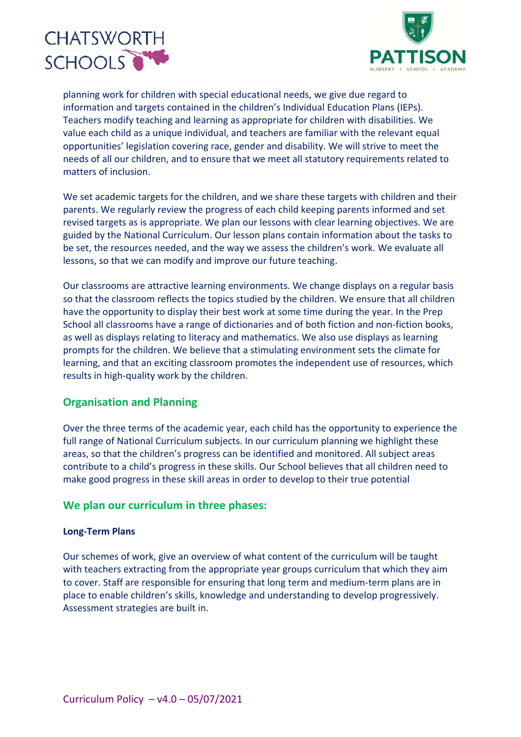



planning work for children with special educational needs, we give due regard to information and targets contained in the children's Individual Education Plans (IEPs). Teachers modify teaching and learning as appropriate for children with disabilities. We value each child as a unique individual, and teachers are familiar with the relevant equal opportunities' legislation covering race, gender and disability. We will strive to meet the needs of all our children, and to ensure that we meet all statutory requirements related to matters of inclusion.

We set academic targets for the children, and we share these targets with children and their parents. We regularly review the progress of each child keeping parents informed and set revised targets as is appropriate. We plan our lessons with clear learning objectives. We are guided by the National Curriculum. Our lesson plans contain information about the tasks to be set, the resources needed, and the way we assess the children's work. We evaluate all lessons, so that we can modify and improve our future teaching.

Our classrooms are attractive learning environments. We change displays on a regular basis so that the classroom reflects the topics studied by the children. We ensure that all children have the opportunity to display their best work at some time during the year. In the Prep School all classrooms have a range of dictionaries and of both fiction and non-fiction books, as well as displays relating to literacy and mathematics. We also use displays as learning prompts for the children. We believe that a stimulating environment sets the climate for learning, and that an exciting classroom promotes the independent use of resources, which results in high-quality work by the children.

## **Organisation and Planning**

Over the three terms of the academic year, each child has the opportunity to experience the full range of National Curriculum subjects. In our curriculum planning we highlight these areas, so that the children's progress can be identified and monitored. All subject areas contribute to a child's progress in these skills. Our School believes that all children need to make good progress in these skill areas in order to develop to their true potential

## **We plan our curriculum in three phases:**

#### **Long-Term Plans**

Our schemes of work, give an overview of what content of the curriculum will be taught with teachers extracting from the appropriate year groups curriculum that which they aim to cover. Staff are responsible for ensuring that long term and medium-term plans are in place to enable children's skills, knowledge and understanding to develop progressively. Assessment strategies are built in.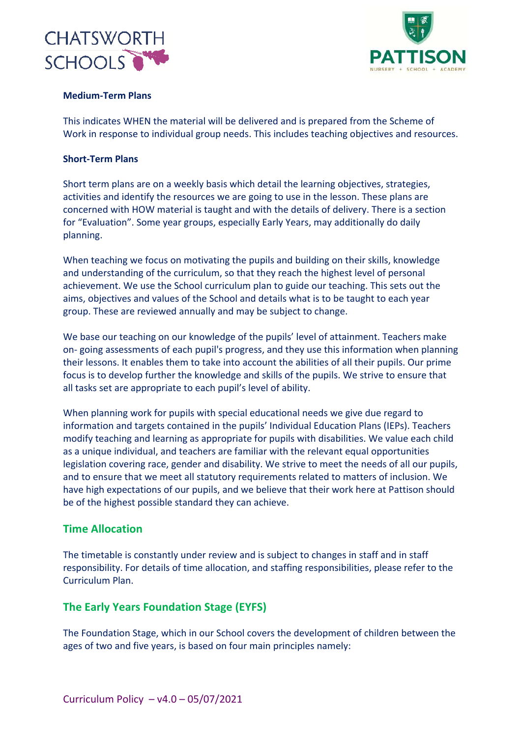



#### **Medium-Term Plans**

This indicates WHEN the material will be delivered and is prepared from the Scheme of Work in response to individual group needs. This includes teaching objectives and resources.

#### **Short-Term Plans**

Short term plans are on a weekly basis which detail the learning objectives, strategies, activities and identify the resources we are going to use in the lesson. These plans are concerned with HOW material is taught and with the details of delivery. There is a section for "Evaluation". Some year groups, especially Early Years, may additionally do daily planning.

When teaching we focus on motivating the pupils and building on their skills, knowledge and understanding of the curriculum, so that they reach the highest level of personal achievement. We use the School curriculum plan to guide our teaching. This sets out the aims, objectives and values of the School and details what is to be taught to each year group. These are reviewed annually and may be subject to change.

We base our teaching on our knowledge of the pupils' level of attainment. Teachers make on- going assessments of each pupil's progress, and they use this information when planning their lessons. It enables them to take into account the abilities of all their pupils. Our prime focus is to develop further the knowledge and skills of the pupils. We strive to ensure that all tasks set are appropriate to each pupil's level of ability.

When planning work for pupils with special educational needs we give due regard to information and targets contained in the pupils' Individual Education Plans (IEPs). Teachers modify teaching and learning as appropriate for pupils with disabilities. We value each child as a unique individual, and teachers are familiar with the relevant equal opportunities legislation covering race, gender and disability. We strive to meet the needs of all our pupils, and to ensure that we meet all statutory requirements related to matters of inclusion. We have high expectations of our pupils, and we believe that their work here at Pattison should be of the highest possible standard they can achieve.

## **Time Allocation**

The timetable is constantly under review and is subject to changes in staff and in staff responsibility. For details of time allocation, and staffing responsibilities, please refer to the Curriculum Plan.

## **The Early Years Foundation Stage (EYFS)**

The Foundation Stage, which in our School covers the development of children between the ages of two and five years, is based on four main principles namely: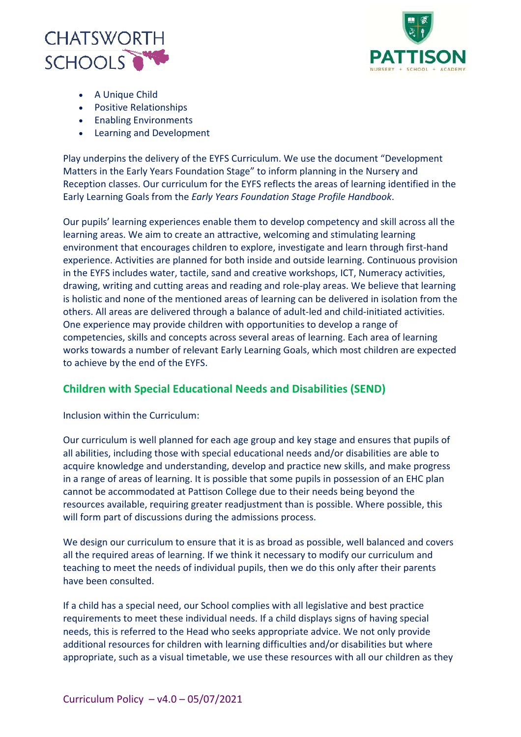



- A Unique Child
- Positive Relationships
- Enabling Environments
- Learning and Development

Play underpins the delivery of the EYFS Curriculum. We use the document "Development Matters in the Early Years Foundation Stage" to inform planning in the Nursery and Reception classes. Our curriculum for the EYFS reflects the areas of learning identified in the Early Learning Goals from the *Early Years Foundation Stage Profile Handbook*.

Our pupils' learning experiences enable them to develop competency and skill across all the learning areas. We aim to create an attractive, welcoming and stimulating learning environment that encourages children to explore, investigate and learn through first-hand experience. Activities are planned for both inside and outside learning. Continuous provision in the EYFS includes water, tactile, sand and creative workshops, ICT, Numeracy activities, drawing, writing and cutting areas and reading and role-play areas. We believe that learning is holistic and none of the mentioned areas of learning can be delivered in isolation from the others. All areas are delivered through a balance of adult-led and child-initiated activities. One experience may provide children with opportunities to develop a range of competencies, skills and concepts across several areas of learning. Each area of learning works towards a number of relevant Early Learning Goals, which most children are expected to achieve by the end of the EYFS.

## **Children with Special Educational Needs and Disabilities (SEND)**

#### Inclusion within the Curriculum:

Our curriculum is well planned for each age group and key stage and ensures that pupils of all abilities, including those with special educational needs and/or disabilities are able to acquire knowledge and understanding, develop and practice new skills, and make progress in a range of areas of learning. It is possible that some pupils in possession of an EHC plan cannot be accommodated at Pattison College due to their needs being beyond the resources available, requiring greater readjustment than is possible. Where possible, this will form part of discussions during the admissions process.

We design our curriculum to ensure that it is as broad as possible, well balanced and covers all the required areas of learning. If we think it necessary to modify our curriculum and teaching to meet the needs of individual pupils, then we do this only after their parents have been consulted.

If a child has a special need, our School complies with all legislative and best practice requirements to meet these individual needs. If a child displays signs of having special needs, this is referred to the Head who seeks appropriate advice. We not only provide additional resources for children with learning difficulties and/or disabilities but where appropriate, such as a visual timetable, we use these resources with all our children as they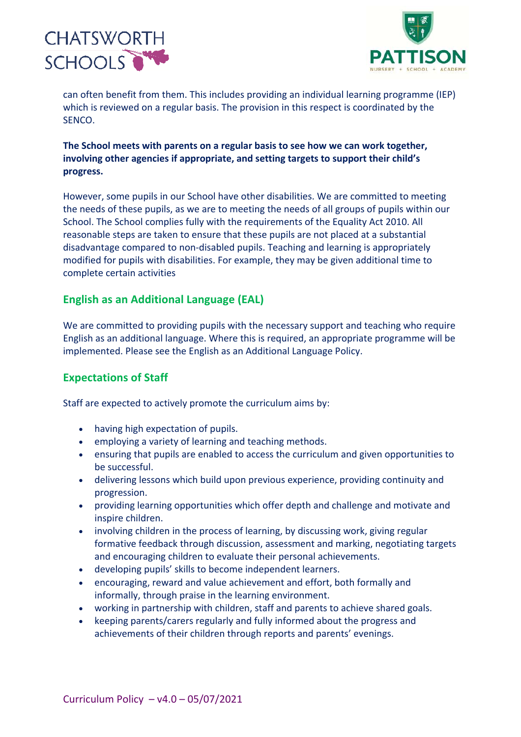



can often benefit from them. This includes providing an individual learning programme (IEP) which is reviewed on a regular basis. The provision in this respect is coordinated by the SENCO.

## **The School meets with parents on a regular basis to see how we can work together, involving other agencies if appropriate, and setting targets to support their child's progress.**

However, some pupils in our School have other disabilities. We are committed to meeting the needs of these pupils, as we are to meeting the needs of all groups of pupils within our School. The School complies fully with the requirements of the Equality Act 2010. All reasonable steps are taken to ensure that these pupils are not placed at a substantial disadvantage compared to non-disabled pupils. Teaching and learning is appropriately modified for pupils with disabilities. For example, they may be given additional time to complete certain activities

## **English as an Additional Language (EAL)**

We are committed to providing pupils with the necessary support and teaching who require English as an additional language. Where this is required, an appropriate programme will be implemented. Please see the English as an Additional Language Policy.

## **Expectations of Staff**

Staff are expected to actively promote the curriculum aims by:

- having high expectation of pupils.
- employing a variety of learning and teaching methods.
- ensuring that pupils are enabled to access the curriculum and given opportunities to be successful.
- delivering lessons which build upon previous experience, providing continuity and progression.
- providing learning opportunities which offer depth and challenge and motivate and inspire children.
- involving children in the process of learning, by discussing work, giving regular formative feedback through discussion, assessment and marking, negotiating targets and encouraging children to evaluate their personal achievements.
- developing pupils' skills to become independent learners.
- encouraging, reward and value achievement and effort, both formally and informally, through praise in the learning environment.
- working in partnership with children, staff and parents to achieve shared goals.
- keeping parents/carers regularly and fully informed about the progress and achievements of their children through reports and parents' evenings.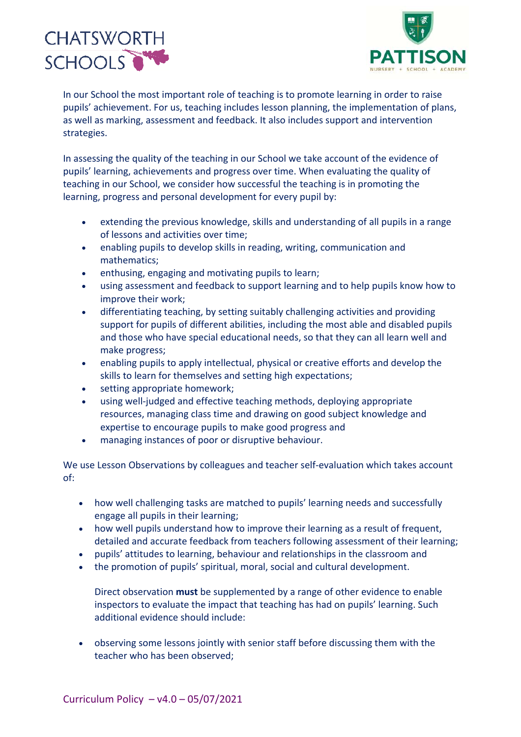



In our School the most important role of teaching is to promote learning in order to raise pupils' achievement. For us, teaching includes lesson planning, the implementation of plans, as well as marking, assessment and feedback. It also includes support and intervention strategies.

In assessing the quality of the teaching in our School we take account of the evidence of pupils' learning, achievements and progress over time. When evaluating the quality of teaching in our School, we consider how successful the teaching is in promoting the learning, progress and personal development for every pupil by:

- extending the previous knowledge, skills and understanding of all pupils in a range of lessons and activities over time;
- enabling pupils to develop skills in reading, writing, communication and mathematics;
- enthusing, engaging and motivating pupils to learn;
- using assessment and feedback to support learning and to help pupils know how to improve their work;
- differentiating teaching, by setting suitably challenging activities and providing support for pupils of different abilities, including the most able and disabled pupils and those who have special educational needs, so that they can all learn well and make progress;
- enabling pupils to apply intellectual, physical or creative efforts and develop the skills to learn for themselves and setting high expectations;
- setting appropriate homework:
- using well-judged and effective teaching methods, deploying appropriate resources, managing class time and drawing on good subject knowledge and expertise to encourage pupils to make good progress and
- managing instances of poor or disruptive behaviour.

We use Lesson Observations by colleagues and teacher self-evaluation which takes account of:

- how well challenging tasks are matched to pupils' learning needs and successfully engage all pupils in their learning;
- how well pupils understand how to improve their learning as a result of frequent, detailed and accurate feedback from teachers following assessment of their learning;
- pupils' attitudes to learning, behaviour and relationships in the classroom and
- the promotion of pupils' spiritual, moral, social and cultural development.

Direct observation **must** be supplemented by a range of other evidence to enable inspectors to evaluate the impact that teaching has had on pupils' learning. Such additional evidence should include:

• observing some lessons jointly with senior staff before discussing them with the teacher who has been observed;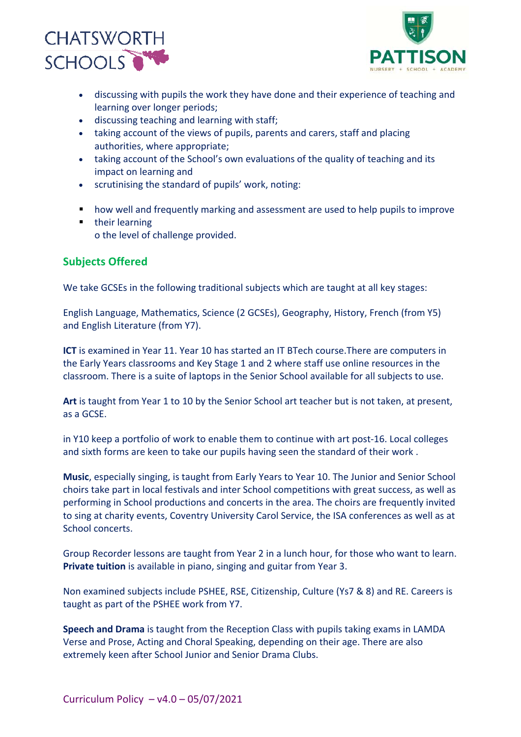



- discussing with pupils the work they have done and their experience of teaching and learning over longer periods;
- discussing teaching and learning with staff;
- taking account of the views of pupils, parents and carers, staff and placing authorities, where appropriate;
- taking account of the School's own evaluations of the quality of teaching and its impact on learning and
- scrutinising the standard of pupils' work, noting:
- how well and frequently marking and assessment are used to help pupils to improve
- their learning o the level of challenge provided.

## **Subjects Offered**

We take GCSEs in the following traditional subjects which are taught at all key stages:

English Language, Mathematics, Science (2 GCSEs), Geography, History, French (from Y5) and English Literature (from Y7).

**ICT** is examined in Year 11. Year 10 has started an IT BTech course.There are computers in the Early Years classrooms and Key Stage 1 and 2 where staff use online resources in the classroom. There is a suite of laptops in the Senior School available for all subjects to use.

**Art** is taught from Year 1 to 10 by the Senior School art teacher but is not taken, at present, as a GCSE.

in Y10 keep a portfolio of work to enable them to continue with art post-16. Local colleges and sixth forms are keen to take our pupils having seen the standard of their work .

**Music**, especially singing, is taught from Early Years to Year 10. The Junior and Senior School choirs take part in local festivals and inter School competitions with great success, as well as performing in School productions and concerts in the area. The choirs are frequently invited to sing at charity events, Coventry University Carol Service, the ISA conferences as well as at School concerts.

Group Recorder lessons are taught from Year 2 in a lunch hour, for those who want to learn. **Private tuition** is available in piano, singing and guitar from Year 3.

Non examined subjects include PSHEE, RSE, Citizenship, Culture (Ys7 & 8) and RE. Careers is taught as part of the PSHEE work from Y7.

**Speech and Drama** is taught from the Reception Class with pupils taking exams in LAMDA Verse and Prose, Acting and Choral Speaking, depending on their age. There are also extremely keen after School Junior and Senior Drama Clubs.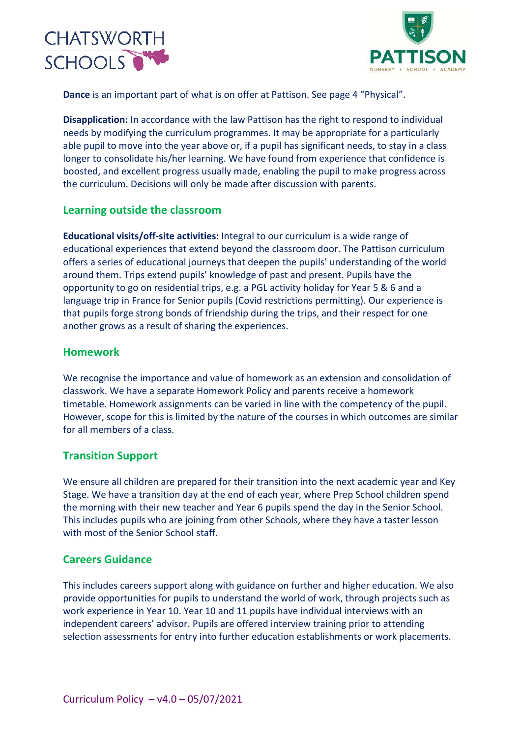



**Dance** is an important part of what is on offer at Pattison. See page 4 "Physical".

**Disapplication:** In accordance with the law Pattison has the right to respond to individual needs by modifying the curriculum programmes. It may be appropriate for a particularly able pupil to move into the year above or, if a pupil has significant needs, to stay in a class longer to consolidate his/her learning. We have found from experience that confidence is boosted, and excellent progress usually made, enabling the pupil to make progress across the curriculum. Decisions will only be made after discussion with parents.

## **Learning outside the classroom**

**Educational visits/off-site activities:** Integral to our curriculum is a wide range of educational experiences that extend beyond the classroom door. The Pattison curriculum offers a series of educational journeys that deepen the pupils' understanding of the world around them. Trips extend pupils' knowledge of past and present. Pupils have the opportunity to go on residential trips, e.g. a PGL activity holiday for Year 5 & 6 and a language trip in France for Senior pupils (Covid restrictions permitting). Our experience is that pupils forge strong bonds of friendship during the trips, and their respect for one another grows as a result of sharing the experiences.

## **Homework**

We recognise the importance and value of homework as an extension and consolidation of classwork. We have a separate Homework Policy and parents receive a homework timetable. Homework assignments can be varied in line with the competency of the pupil. However, scope for this is limited by the nature of the courses in which outcomes are similar for all members of a class.

## **Transition Support**

We ensure all children are prepared for their transition into the next academic year and Key Stage. We have a transition day at the end of each year, where Prep School children spend the morning with their new teacher and Year 6 pupils spend the day in the Senior School. This includes pupils who are joining from other Schools, where they have a taster lesson with most of the Senior School staff.

## **Careers Guidance**

This includes careers support along with guidance on further and higher education. We also provide opportunities for pupils to understand the world of work, through projects such as work experience in Year 10. Year 10 and 11 pupils have individual interviews with an independent careers' advisor. Pupils are offered interview training prior to attending selection assessments for entry into further education establishments or work placements.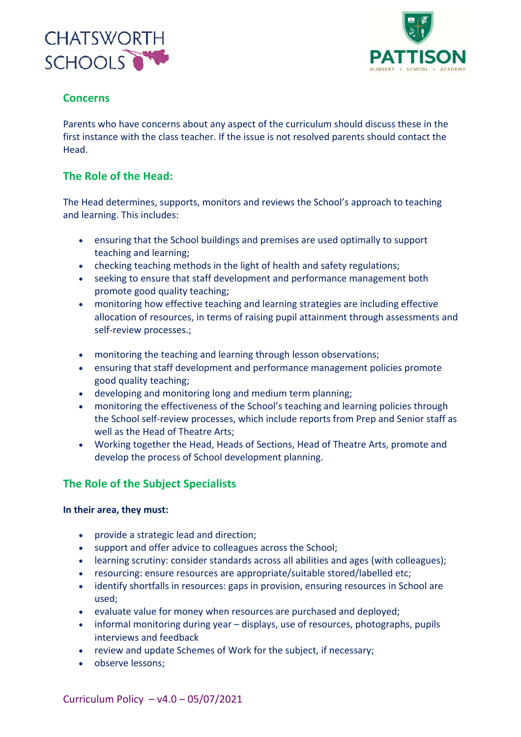



## **Concerns**

Parents who have concerns about any aspect of the curriculum should discuss these in the first instance with the class teacher. If the issue is not resolved parents should contact the Head.

## **The Role of the Head:**

The Head determines, supports, monitors and reviews the School's approach to teaching and learning. This includes:

- ensuring that the School buildings and premises are used optimally to support teaching and learning;
- checking teaching methods in the light of health and safety regulations;
- seeking to ensure that staff development and performance management both promote good quality teaching;
- monitoring how effective teaching and learning strategies are including effective allocation of resources, in terms of raising pupil attainment through assessments and self-review processes.;
- monitoring the teaching and learning through lesson observations;
- ensuring that staff development and performance management policies promote good quality teaching;
- developing and monitoring long and medium term planning;
- monitoring the effectiveness of the School's teaching and learning policies through the School self-review processes, which include reports from Prep and Senior staff as well as the Head of Theatre Arts;
- Working together the Head, Heads of Sections, Head of Theatre Arts, promote and develop the process of School development planning.

## **The Role of the Subject Specialists**

#### **In their area, they must:**

- provide a strategic lead and direction;
- support and offer advice to colleagues across the School;
- learning scrutiny: consider standards across all abilities and ages (with colleagues);
- resourcing: ensure resources are appropriate/suitable stored/labelled etc;
- identify shortfalls in resources: gaps in provision, ensuring resources in School are used;
- evaluate value for money when resources are purchased and deployed;
- informal monitoring during year displays, use of resources, photographs, pupils interviews and feedback
- review and update Schemes of Work for the subject, if necessary;
- observe lessons;

Curriculum Policy – v4.0 – 05/07/2021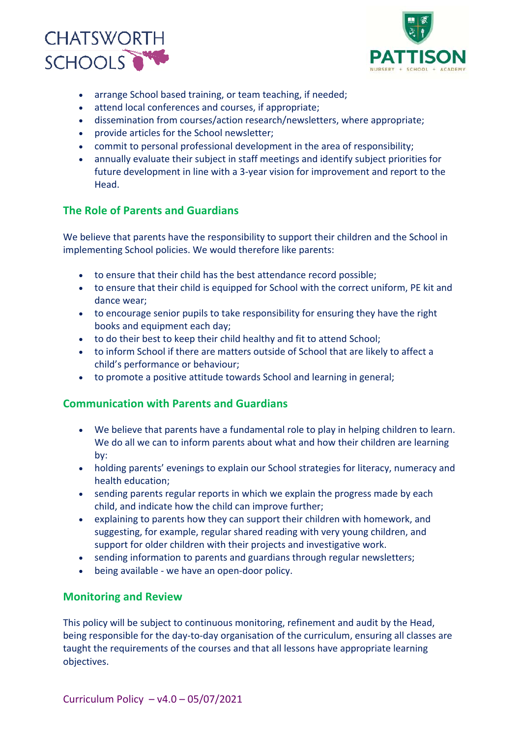



- arrange School based training, or team teaching, if needed;
- attend local conferences and courses, if appropriate;
- dissemination from courses/action research/newsletters, where appropriate;
- provide articles for the School newsletter;
- commit to personal professional development in the area of responsibility;
- annually evaluate their subject in staff meetings and identify subject priorities for future development in line with a 3-year vision for improvement and report to the Head.

## **The Role of Parents and Guardians**

We believe that parents have the responsibility to support their children and the School in implementing School policies. We would therefore like parents:

- to ensure that their child has the best attendance record possible;
- to ensure that their child is equipped for School with the correct uniform, PE kit and dance wear;
- to encourage senior pupils to take responsibility for ensuring they have the right books and equipment each day;
- to do their best to keep their child healthy and fit to attend School;
- to inform School if there are matters outside of School that are likely to affect a child's performance or behaviour;
- to promote a positive attitude towards School and learning in general;

## **Communication with Parents and Guardians**

- We believe that parents have a fundamental role to play in helping children to learn. We do all we can to inform parents about what and how their children are learning by:
- holding parents' evenings to explain our School strategies for literacy, numeracy and health education;
- sending parents regular reports in which we explain the progress made by each child, and indicate how the child can improve further;
- explaining to parents how they can support their children with homework, and suggesting, for example, regular shared reading with very young children, and support for older children with their projects and investigative work.
- sending information to parents and guardians through regular newsletters;
- being available we have an open-door policy.

## **Monitoring and Review**

This policy will be subject to continuous monitoring, refinement and audit by the Head, being responsible for the day-to-day organisation of the curriculum, ensuring all classes are taught the requirements of the courses and that all lessons have appropriate learning objectives.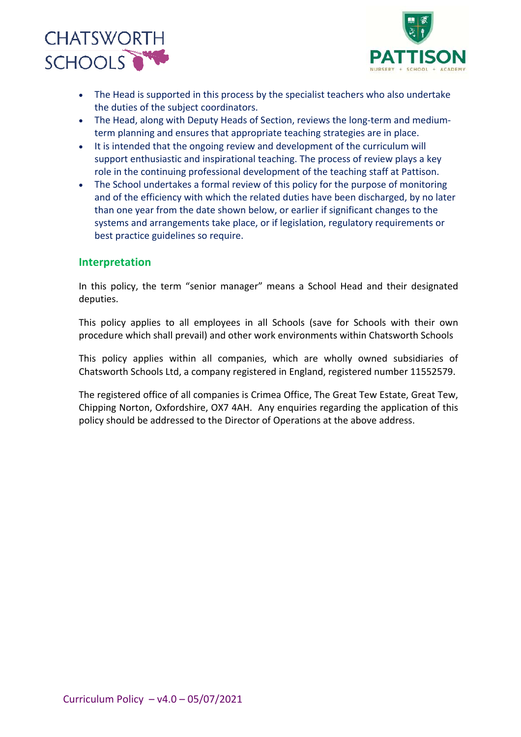



- The Head is supported in this process by the specialist teachers who also undertake the duties of the subject coordinators.
- The Head, along with Deputy Heads of Section, reviews the long-term and mediumterm planning and ensures that appropriate teaching strategies are in place.
- It is intended that the ongoing review and development of the curriculum will support enthusiastic and inspirational teaching. The process of review plays a key role in the continuing professional development of the teaching staff at Pattison.
- The School undertakes a formal review of this policy for the purpose of monitoring and of the efficiency with which the related duties have been discharged, by no later than one year from the date shown below, or earlier if significant changes to the systems and arrangements take place, or if legislation, regulatory requirements or best practice guidelines so require.

#### **Interpretation**

In this policy, the term "senior manager" means a School Head and their designated deputies.

This policy applies to all employees in all Schools (save for Schools with their own procedure which shall prevail) and other work environments within Chatsworth Schools

This policy applies within all companies, which are wholly owned subsidiaries of Chatsworth Schools Ltd, a company registered in England, registered number 11552579.

The registered office of all companies is Crimea Office, The Great Tew Estate, Great Tew, Chipping Norton, Oxfordshire, OX7 4AH. Any enquiries regarding the application of this policy should be addressed to the Director of Operations at the above address.